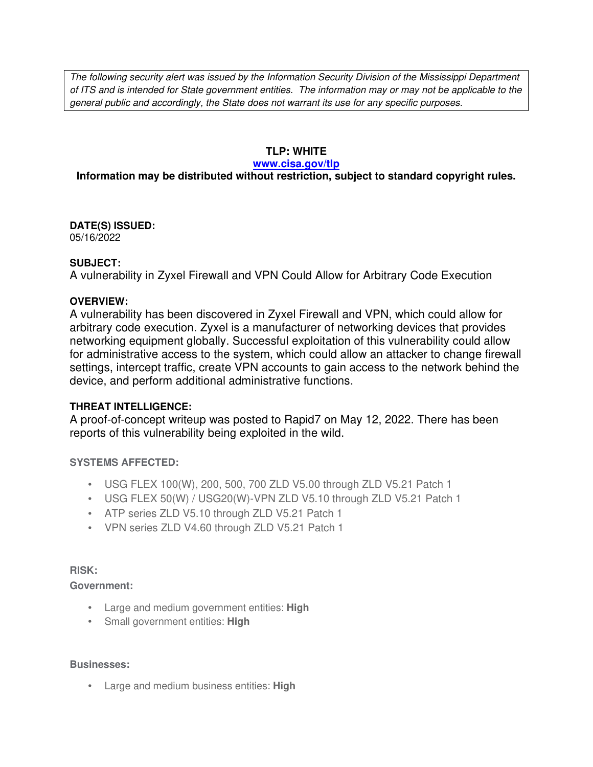The following security alert was issued by the Information Security Division of the Mississippi Department of ITS and is intended for State government entities. The information may or may not be applicable to the general public and accordingly, the State does not warrant its use for any specific purposes.

## **TLP: WHITE**

#### **www.cisa.gov/tlp**

# **Information may be distributed without restriction, subject to standard copyright rules.**

**DATE(S) ISSUED:** 05/16/2022

### **SUBJECT:**

A vulnerability in Zyxel Firewall and VPN Could Allow for Arbitrary Code Execution

### **OVERVIEW:**

A vulnerability has been discovered in Zyxel Firewall and VPN, which could allow for arbitrary code execution. Zyxel is a manufacturer of networking devices that provides networking equipment globally. Successful exploitation of this vulnerability could allow for administrative access to the system, which could allow an attacker to change firewall settings, intercept traffic, create VPN accounts to gain access to the network behind the device, and perform additional administrative functions.

## **THREAT INTELLIGENCE:**

A proof-of-concept writeup was posted to Rapid7 on May 12, 2022. There has been reports of this vulnerability being exploited in the wild.

## **SYSTEMS AFFECTED:**

- USG FLEX 100(W), 200, 500, 700 ZLD V5.00 through ZLD V5.21 Patch 1
- USG FLEX 50(W) / USG20(W)-VPN ZLD V5.10 through ZLD V5.21 Patch 1
- ATP series ZLD V5.10 through ZLD V5.21 Patch 1
- VPN series ZLD V4.60 through ZLD V5.21 Patch 1

#### **RISK:**

## **Government:**

- Large and medium government entities: **High**
- Small government entities: **High**

#### **Businesses:**

• Large and medium business entities: **High**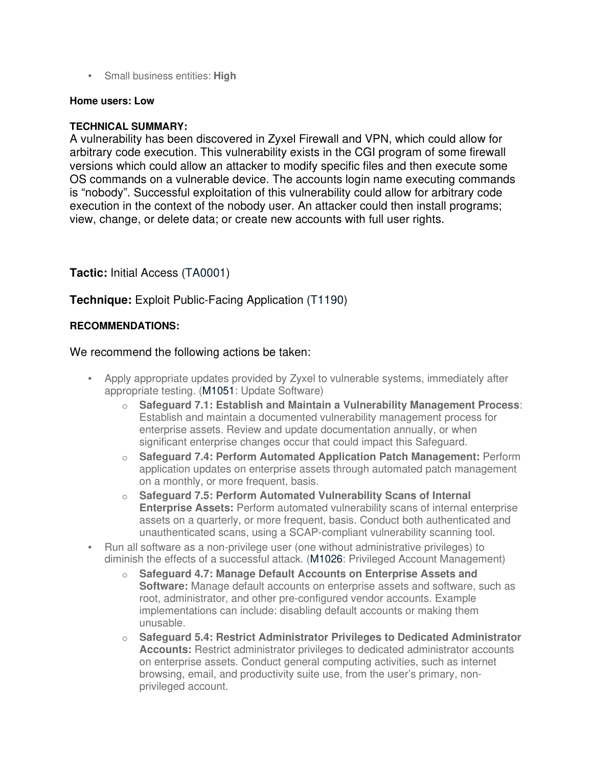• Small business entities: **High**

#### **Home users: Low**

## **TECHNICAL SUMMARY:**

A vulnerability has been discovered in Zyxel Firewall and VPN, which could allow for arbitrary code execution. This vulnerability exists in the CGI program of some firewall versions which could allow an attacker to modify specific files and then execute some OS commands on a vulnerable device. The accounts login name executing commands is "nobody". Successful exploitation of this vulnerability could allow for arbitrary code execution in the context of the nobody user. An attacker could then install programs; view, change, or delete data; or create new accounts with full user rights.

## **Tactic:** Initial Access (TA0001)

# **Technique:** Exploit Public-Facing Application (T1190)

## **RECOMMENDATIONS:**

## We recommend the following actions be taken:

- Apply appropriate updates provided by Zyxel to vulnerable systems, immediately after appropriate testing. (M1051: Update Software)
	- o **Safeguard 7.1: Establish and Maintain a Vulnerability Management Process**: Establish and maintain a documented vulnerability management process for enterprise assets. Review and update documentation annually, or when significant enterprise changes occur that could impact this Safeguard.
	- o **Safeguard 7.4: Perform Automated Application Patch Management:** Perform application updates on enterprise assets through automated patch management on a monthly, or more frequent, basis.
	- o **Safeguard 7.5: Perform Automated Vulnerability Scans of Internal Enterprise Assets:** Perform automated vulnerability scans of internal enterprise assets on a quarterly, or more frequent, basis. Conduct both authenticated and unauthenticated scans, using a SCAP-compliant vulnerability scanning tool.
- Run all software as a non-privilege user (one without administrative privileges) to diminish the effects of a successful attack. (M1026: Privileged Account Management)
	- o **Safeguard 4.7: Manage Default Accounts on Enterprise Assets and Software:** Manage default accounts on enterprise assets and software, such as root, administrator, and other pre-configured vendor accounts. Example implementations can include: disabling default accounts or making them unusable.
	- o **Safeguard 5.4: Restrict Administrator Privileges to Dedicated Administrator Accounts:** Restrict administrator privileges to dedicated administrator accounts on enterprise assets. Conduct general computing activities, such as internet browsing, email, and productivity suite use, from the user's primary, nonprivileged account.